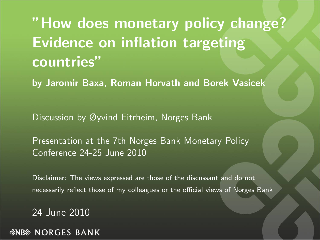"How does monetary policy change? Evidence on inflation targeting countries"

by Jaromir Baxa, Roman Horvath and Borek Vasicek

Discussion by Øyvind Eitrheim, Norges Bank

Presentation at the 7th Norges Bank Monetary Policy Conference 24-25 June 2010

Disclaimer: The views expressed are those of the discussant and do not necessarily reflect those of my colleagues or the official views of Norges Bank

24 June 2010

<span id="page-0-0"></span>*&NB* NORGES BANK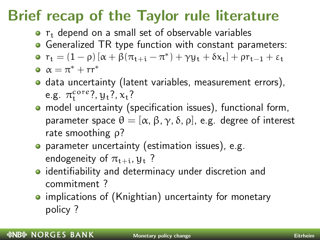### Brief recap of the Taylor rule literature

- $\bullet$   $r_{t}$  depend on a small set of observable variables
- **Generalized TR type function with constant parameters:**
- $r_{t} = (1 \rho) [\alpha + \beta(\pi_{t+i} \pi^{*}) + \gamma y_{t} + \delta x_{t}] + \rho r_{t-1} + \varepsilon_{t}$
- $\alpha = \pi^* + \text{rr}^*$
- o data uncertainty (latent variables, measurement errors), e.g.  $\pi_t^{\text{core}}$ ?,  $y_t$ ?,  $x_t$ ?
- model uncertainty (specification issues), functional form, parameter space  $\theta = [\alpha, \beta, \gamma, \delta, \rho]$ , e.g. degree of interest rate smoothing ρ?
- **•** parameter uncertainty (estimation issues), e.g. endogeneity of  $\pi_{t+i}$ ,  $y_t$ ?
- **•** identifiability and determinacy under discretion and commitment ?
- implications of (Knightian) uncertainty for monetary policy ?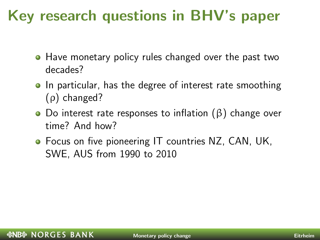### Key research questions in BHV's paper

- Have monetary policy rules changed over the past two decades?
- In particular, has the degree of interest rate smoothing (ρ) changed?
- Do interest rate responses to inflation (β) change over time? And how?
- **•** Focus on five pioneering IT countries NZ, CAN, UK, SWE, AUS from 1990 to 2010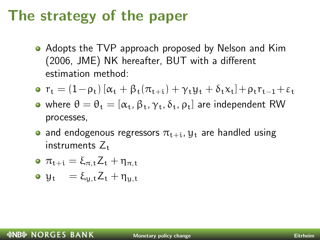#### The strategy of the paper

- Adopts the TVP approach proposed by Nelson and Kim (2006, JME) NK hereafter, BUT with a different estimation method:
- **o**  $r_t = (1 \rho_t) [\alpha_t + \beta_t (\pi_{t+1}) + \gamma_t y_t + \delta_t x_t] + \rho_t r_{t-1} + \varepsilon_t$
- where  $\theta = \theta_t = [\alpha_t, \beta_t, \gamma_t, \delta_t, \rho_t]$  are independent RW processes,
- and endogenous regressors  $\pi_{t+i}$ ,  $y_t$  are handled using instruments  $Z_t$
- $\sigma \pi_{t+1} = \xi_{\pi}^{\dagger} Z_t + \eta_{\pi}^{\dagger}$
- $\mathbf{u}_{t} = \xi_{u,t} Z_t + \eta_{u,t}$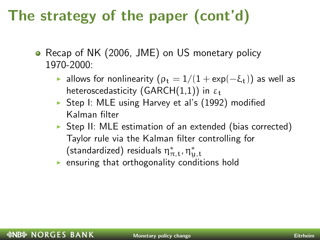## The strategy of the paper (cont'd)

- Recap of NK (2006, JME) on US monetary policy 1970-2000:
	- $\triangleright$  allows for nonlinearity ( $\rho_t = 1/(1 + \exp(-\xi_t))$  as well as heteroscedasticity (GARCH(1,1)) in  $\varepsilon_t$
	- $\triangleright$  Step I: MLE using Harvey et al's (1992) modified Kalman filter
	- $\triangleright$  Step II: MLE estimation of an extended (bias corrected) Taylor rule via the Kalman filter controlling for  $(\textsf{standardized})$  residuals  $\eta^*_{\pi,\texttt{t}}$ ,  $\eta^*_{\texttt{y},\texttt{t}}$
	- $\triangleright$  ensuring that orthogonality conditions hold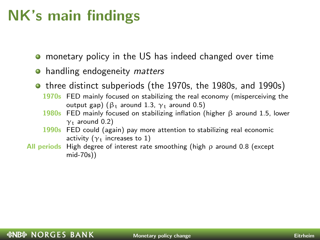### NK's main findings

- monetary policy in the US has indeed changed over time  $\bullet$
- handling endogeneity *matters*
- **•** three distinct subperiods (the 1970s, the 1980s, and 1990s) 1970s FED mainly focused on stabilizing the real economy (misperceiving the
	- output gap) ( $β_t$  around 1.3,  $γ_t$  around 0.5)
	- 1980s FED mainly focused on stabilizing inflation (higher β around 1.5, lower  $\gamma$ <sub>t</sub> around 0.2)
	- 1990s FED could (again) pay more attention to stabilizing real economic activity ( $\gamma_t$  increases to 1)
- All periods High degree of interest rate smoothing (high  $\rho$  around 0.8 (except mid-70s))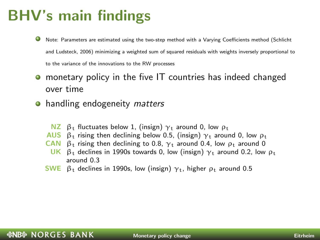### BHV's main findings

- Note: Parameters are estimated using the two-step method with a Varying Coefficients method (Schlicht and Ludsteck, 2006) minimizing a weighted sum of squared residuals with weights inversely proportional to to the variance of the innovations to the RW processes
- monetary policy in the five IT countries has indeed changed  $\bullet$ over time
- handling endogeneity *matters* 
	- NZ  $β_1$  fluctuates below 1, (insign)  $γ_1$  around 0, low  $ρ_1$
	- AUS  $\beta_t$  rising then declining below 0.5, (insign)  $\gamma_t$  around 0, low  $\rho_t$
	- CAN  $β_t$  rising then declining to 0.8,  $γ_t$  around 0.4, low  $ρ_t$  around 0
	- UK  $β_1$  declines in 1990s towards 0, low (insign)  $γ_1$  around 0.2, low  $ρ_1$ around 0.3
	- SWE  $β_t$  declines in 1990s, low (insign)  $γ_t$ , higher  $ρ_t$  around 0.5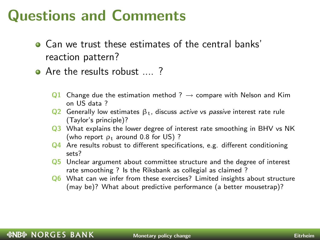#### Questions and Comments

- Can we trust these estimates of the central banks' reaction pattern?
- Are the results robust .... ?
	- Q1 Change due the estimation method ?  $\rightarrow$  compare with Nelson and Kim on US data ?
	- Q2 Generally low estimates  $β_t$ , discuss active vs passive interest rate rule (Taylor's principle)?
	- Q3 What explains the lower degree of interest rate smoothing in BHV vs NK (who report  $\rho_t$  around 0.8 for US)?
	- Q4 Are results robust to different specifications, e.g. different conditioning sets?
	- Q5 Unclear argument about committee structure and the degree of interest rate smoothing ? Is the Riksbank as collegial as claimed ?
	- Q6 What can we infer from these exercises? Limited insights about structure (may be)? What about predictive performance (a better mousetrap)?